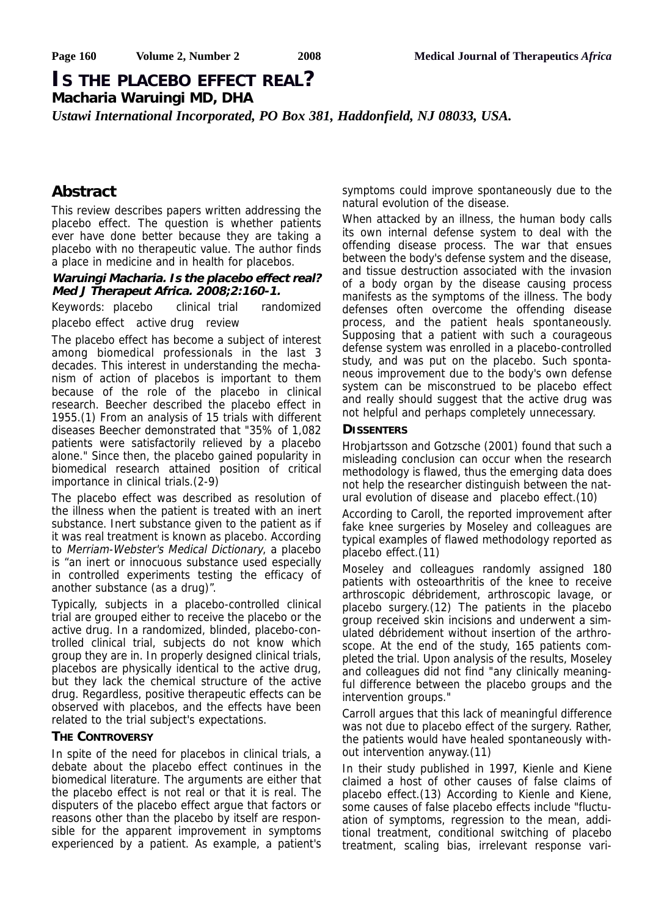# **IS THE PLACEBO EFFECT REAL? Macharia Waruingi MD, DHA**

*Ustawi International Incorporated, PO Box 381, Haddonfield, NJ 08033, USA.*

# **Abstract**

This review describes papers written addressing the placebo effect. The question is whether patients ever have done better because they are taking a placebo with no therapeutic value. The author finds a place in medicine and in health for placebos.

#### **Waruingi Macharia. Is the placebo effect real? Med J Therapeut Africa. 2008;2:160-1.**

Keywords: placebo clinical trial randomized placebo effect active drug review

The placebo effect has become a subject of interest among biomedical professionals in the last 3 decades. This interest in understanding the mechanism of action of placebos is important to them because of the role of the placebo in clinical research. Beecher described the placebo effect in 1955.(1) From an analysis of 15 trials with different diseases Beecher demonstrated that "35% of 1,082 patients were satisfactorily relieved by a placebo alone." Since then, the placebo gained popularity in biomedical research attained position of critical importance in clinical trials.(2-9)

The placebo effect was described as resolution of the illness when the patient is treated with an inert substance. Inert substance given to the patient as if it was real treatment is known as placebo. According to Merriam-Webster's Medical Dictionary, a placebo is "an inert or innocuous substance used especially in controlled experiments testing the efficacy of another substance (as a drug)".

Typically, subjects in a placebo-controlled clinical trial are grouped either to receive the placebo or the active drug. In a randomized, blinded, placebo-controlled clinical trial, subjects do not know which group they are in. In properly designed clinical trials, placebos are physically identical to the active drug, but they lack the chemical structure of the active drug. Regardless, positive therapeutic effects can be observed with placebos, and the effects have been related to the trial subject's expectations.

#### **THE CONTROVERSY**

In spite of the need for placebos in clinical trials, a debate about the placebo effect continues in the biomedical literature. The arguments are either that the placebo effect is not real or that it is real. The disputers of the placebo effect argue that factors or reasons other than the placebo by itself are responsible for the apparent improvement in symptoms experienced by a patient. As example, a patient's symptoms could improve spontaneously due to the natural evolution of the disease.

When attacked by an illness, the human body calls its own internal defense system to deal with the offending disease process. The war that ensues between the body's defense system and the disease, and tissue destruction associated with the invasion of a body organ by the disease causing process manifests as the symptoms of the illness. The body defenses often overcome the offending disease process, and the patient heals spontaneously. Supposing that a patient with such a courageous defense system was enrolled in a placebo-controlled study, and was put on the placebo. Such spontaneous improvement due to the body's own defense system can be misconstrued to be placebo effect and really should suggest that the active drug was not helpful and perhaps completely unnecessary.

### **DISSENTERS**

Hrobjartsson and Gotzsche (2001) found that such a misleading conclusion can occur when the research methodology is flawed, thus the emerging data does not help the researcher distinguish between the natural evolution of disease and placebo effect.(10)

According to Caroll, the reported improvement after fake knee surgeries by Moseley and colleagues are typical examples of flawed methodology reported as placebo effect.(11)

Moseley and colleagues randomly assigned 180 patients with osteoarthritis of the knee to receive arthroscopic débridement, arthroscopic lavage, or placebo surgery.(12) The patients in the placebo group received skin incisions and underwent a simulated débridement without insertion of the arthroscope. At the end of the study, 165 patients completed the trial. Upon analysis of the results, Moseley and colleagues did not find "any clinically meaningful difference between the placebo groups and the intervention groups."

Carroll argues that this lack of meaningful difference was not due to placebo effect of the surgery. Rather, the patients would have healed spontaneously without intervention anyway.(11)

In their study published in 1997, Kienle and Kiene claimed a host of other causes of false claims of placebo effect.(13) According to Kienle and Kiene, some causes of false placebo effects include "fluctuation of symptoms, regression to the mean, additional treatment, conditional switching of placebo treatment, scaling bias, irrelevant response vari